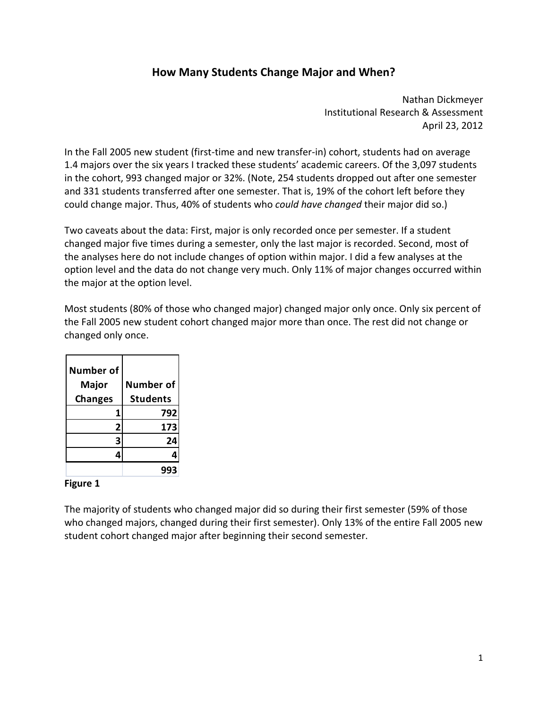## **How Many Students Change Major and When?**

 Nathan Dickmeyer Institutional Research & Assessment April 23, 2012

 In the Fall 2005 new student (first‐time and new transfer‐in) cohort, students had on average 1.4 majors over the six years I tracked these students' academic careers. Of the 3,097 students in the cohort, 993 changed major or 32%. (Note, 254 students dropped out after one semester and 331 students transferred after one semester. That is, 19% of the cohort left before they  could change major. Thus, 40% of students who *could have changed* their major did so.)

 Two caveats about the data: First, major is only recorded once per semester. If a student changed major five times during a semester, only the last major is recorded. Second, most of the analyses here do not include changes of option within major. I did a few analyses at the option level and the data do not change very much. Only 11% of major changes occurred within the major at the option level.

 Most students (80% of those who changed major) changed major only once. Only six percent of the Fall 2005 new student cohort changed major more than once. The rest did not change or changed only once.

| Number of<br><b>Major</b><br><b>Changes</b> | <b>Number of</b><br><b>Students</b> |
|---------------------------------------------|-------------------------------------|
| 1                                           | 792                                 |
| 2                                           | 173                                 |
|                                             | 24                                  |
|                                             |                                     |
|                                             |                                     |

## **Figure 1**

 The majority of students who changed major did so during their first semester (59% of those who changed majors, changed during their first semester). Only 13% of the entire Fall 2005 new student cohort changed major after beginning their second semester.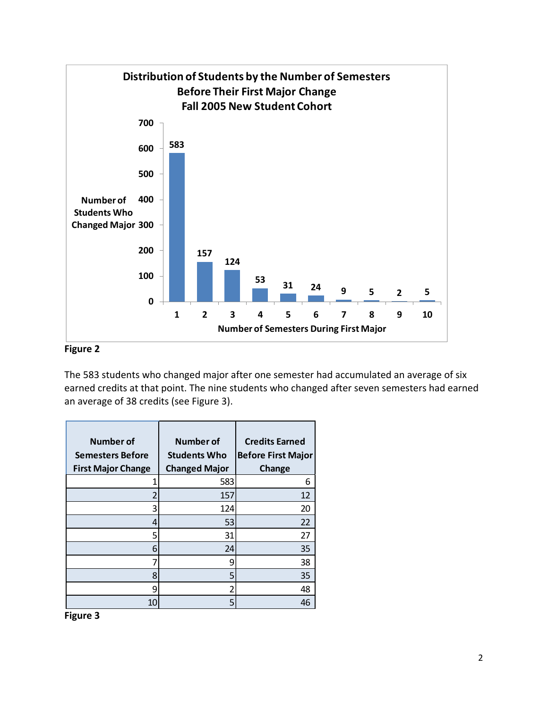

## **Figure 2**

 The 583 students who changed major after one semester had accumulated an average of six earned credits at that point. The nine students who changed after seven semesters had earned an average of 38 credits (see Figure 3).

| Number of<br><b>Semesters Before</b><br><b>First Major Change</b> | Number of<br><b>Students Who</b><br><b>Changed Major</b> | <b>Credits Earned</b><br><b>Before First Major</b><br>Change |
|-------------------------------------------------------------------|----------------------------------------------------------|--------------------------------------------------------------|
|                                                                   | 583                                                      | 6                                                            |
|                                                                   | 157                                                      | 12                                                           |
| 3                                                                 | 124                                                      | 20                                                           |
| 4                                                                 | 53                                                       | 22                                                           |
| 5                                                                 | 31                                                       | 27                                                           |
| 6                                                                 | 24                                                       | 35                                                           |
|                                                                   | 9                                                        | 38                                                           |
| 8                                                                 | 5                                                        | 35                                                           |
| 9                                                                 |                                                          | 48                                                           |
| 10                                                                | 5                                                        | 46                                                           |

 **Figure 3**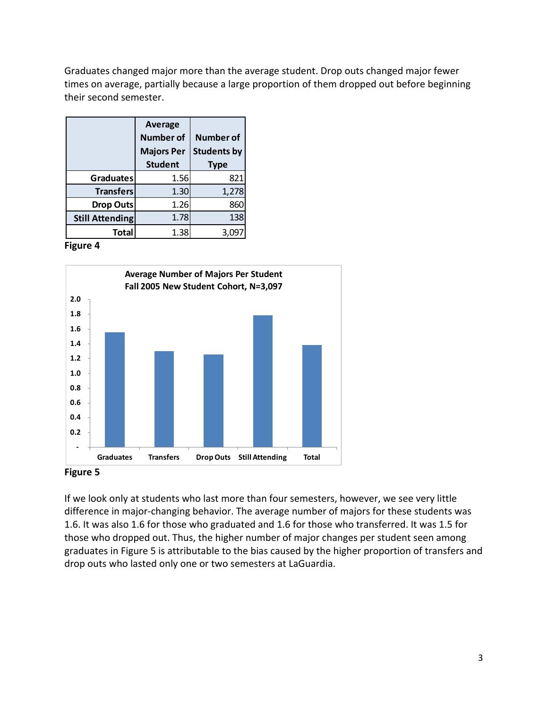Graduates changed major more than the average student. Drop outs changed major fewer times on average, partially because a large proportion of them dropped out before beginning their second semester.

|                        | Average<br><b>Number of</b><br><b>Majors Per</b><br><b>Student</b> | <b>Number of</b><br><b>Students by</b><br><b>Type</b> |
|------------------------|--------------------------------------------------------------------|-------------------------------------------------------|
| <b>Graduates</b>       | 1.56                                                               | 821                                                   |
| <b>Transfers</b>       | 1.30                                                               | 1,278                                                 |
| <b>Drop Outs</b>       | 1.26                                                               | 860                                                   |
| <b>Still Attending</b> | 1.78                                                               | 138                                                   |
| Total                  | 1.38                                                               | 3.09                                                  |

 **Figure 4**



 **Figure 5**

 If we look only at students who last more than four semesters, however, we see very little difference in major‐changing behavior. The average number of majors for these students was 1.6. It was also 1.6 for those who graduated and 1.6 for those who transferred. It was 1.5 for those who dropped out. Thus, the higher number of major changes per student seen among graduates in Figure 5 is attributable to the bias caused by the higher proportion of transfers and drop outs who lasted only one or two semesters at LaGuardia.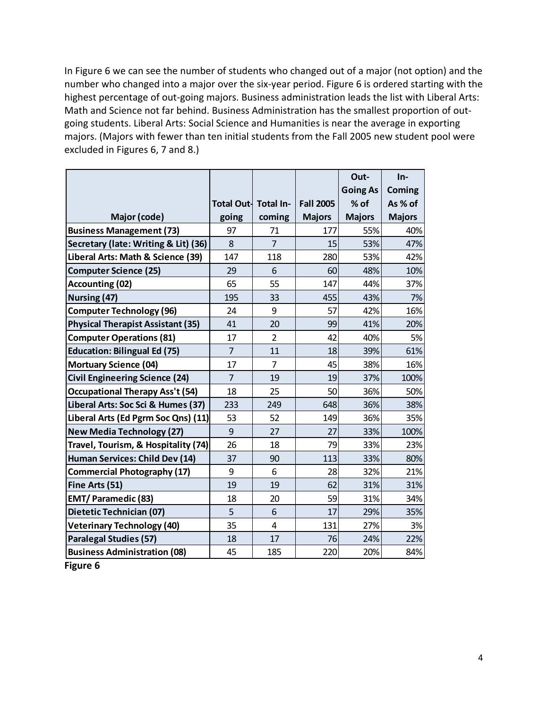In Figure 6 we can see the number of students who changed out of a major (not option) and the number who changed into a major over the six‐year period. Figure 6 is ordered starting with the highest percentage of out‐going majors. Business administration leads the list with Liberal Arts: Math and Science not far behind. Business Administration has the smallest proportion of out‐ going students. Liberal Arts: Social Science and Humanities is near the average in exporting majors. (Majors with fewer than ten initial students from the Fall 2005 new student pool were excluded in Figures 6, 7 and 8.)

|                                          |                      |                |                  | Out-            | In-           |
|------------------------------------------|----------------------|----------------|------------------|-----------------|---------------|
|                                          |                      |                |                  | <b>Going As</b> | Coming        |
|                                          | Total Out- Total In- |                | <b>Fall 2005</b> | $%$ of          | As % of       |
| Major (code)                             | going                | coming         | <b>Majors</b>    | <b>Majors</b>   | <b>Majors</b> |
| <b>Business Management (73)</b>          | 97                   | 71             | 177              | 55%             | 40%           |
| Secretary (late: Writing & Lit) (36)     | 8                    | 7              | 15               | 53%             | 47%           |
| Liberal Arts: Math & Science (39)        | 147                  | 118            | 280              | 53%             | 42%           |
| <b>Computer Science (25)</b>             | 29                   | 6              | 60               | 48%             | 10%           |
| <b>Accounting (02)</b>                   | 65                   | 55             | 147              | 44%             | 37%           |
| Nursing (47)                             | 195                  | 33             | 455              | 43%             | 7%            |
| <b>Computer Technology (96)</b>          | 24                   | 9              | 57               | 42%             | 16%           |
| <b>Physical Therapist Assistant (35)</b> | 41                   | 20             | 99               | 41%             | 20%           |
| <b>Computer Operations (81)</b>          | 17                   | $\overline{2}$ | 42               | 40%             | 5%            |
| <b>Education: Bilingual Ed (75)</b>      | $\overline{7}$       | 11             | 18               | 39%             | 61%           |
| <b>Mortuary Science (04)</b>             | 17                   | $\overline{7}$ | 45               | 38%             | 16%           |
| <b>Civil Engineering Science (24)</b>    | $\overline{7}$       | 19             | 19               | 37%             | 100%          |
| <b>Occupational Therapy Ass't (54)</b>   | 18                   | 25             | 50               | 36%             | 50%           |
| Liberal Arts: Soc Sci & Humes (37)       | 233                  | 249            | 648              | 36%             | 38%           |
| Liberal Arts (Ed Pgrm Soc Qns) (11)      | 53                   | 52             | 149              | 36%             | 35%           |
| <b>New Media Technology (27)</b>         | 9                    | 27             | 27               | 33%             | 100%          |
| Travel, Tourism, & Hospitality (74)      | 26                   | 18             | 79               | 33%             | 23%           |
| Human Services: Child Dev (14)           | 37                   | 90             | 113              | 33%             | 80%           |
| <b>Commercial Photography (17)</b>       | 9                    | 6              | 28               | 32%             | 21%           |
| Fine Arts (51)                           | 19                   | 19             | 62               | 31%             | 31%           |
| <b>EMT/Paramedic (83)</b>                | 18                   | 20             | 59               | 31%             | 34%           |
| Dietetic Technician (07)                 | 5                    | 6              | 17               | 29%             | 35%           |
| <b>Veterinary Technology (40)</b>        | 35                   | $\overline{4}$ | 131              | 27%             | 3%            |
| <b>Paralegal Studies (57)</b>            | 18                   | 17             | 76               | 24%             | 22%           |
| <b>Business Administration (08)</b>      | 45                   | 185            | 220              | 20%             | 84%           |

 **Figure 6**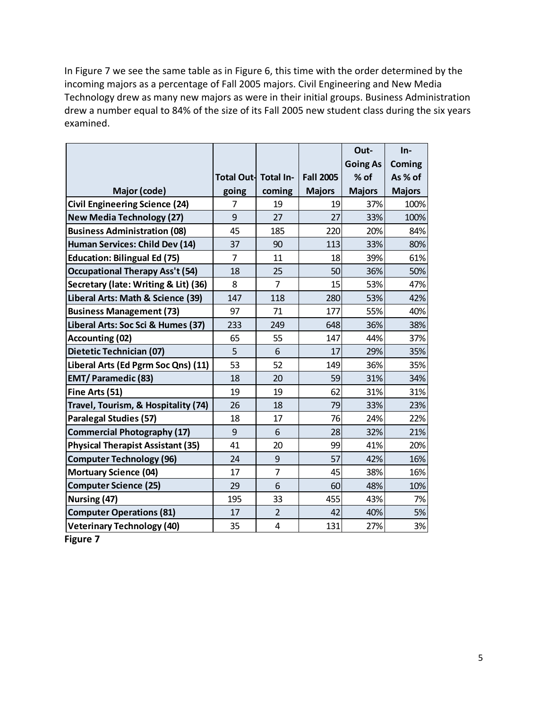In Figure 7 we see the same table as in Figure 6, this time with the order determined by the incoming majors as a percentage of Fall 2005 majors. Civil Engineering and New Media Technology drew as many new majors as were in their initial groups. Business Administration drew a number equal to 84% of the size of its Fall 2005 new student class during the six years examined.

|                                          |                      |                |                  | Out-            | In-           |
|------------------------------------------|----------------------|----------------|------------------|-----------------|---------------|
|                                          |                      |                |                  | <b>Going As</b> | Coming        |
|                                          | Total Out- Total In- |                | <b>Fall 2005</b> | $%$ of          | As % of       |
| Major (code)                             | going                | coming         | <b>Majors</b>    | <b>Majors</b>   | <b>Majors</b> |
| <b>Civil Engineering Science (24)</b>    | 7                    | 19             | 19               | 37%             | 100%          |
| <b>New Media Technology (27)</b>         | 9                    | 27             | 27               | 33%             | 100%          |
| <b>Business Administration (08)</b>      | 45                   | 185            | 220              | 20%             | 84%           |
| Human Services: Child Dev (14)           | 37                   | 90             | 113              | 33%             | 80%           |
| <b>Education: Bilingual Ed (75)</b>      | $\overline{7}$       | 11             | 18               | 39%             | 61%           |
| <b>Occupational Therapy Ass't (54)</b>   | 18                   | 25             | 50               | 36%             | 50%           |
| Secretary (late: Writing & Lit) (36)     | 8                    | $\overline{7}$ | 15               | 53%             | 47%           |
| Liberal Arts: Math & Science (39)        | 147                  | 118            | 280              | 53%             | 42%           |
| <b>Business Management (73)</b>          | 97                   | 71             | 177              | 55%             | 40%           |
| Liberal Arts: Soc Sci & Humes (37)       | 233                  | 249            | 648              | 36%             | 38%           |
| <b>Accounting (02)</b>                   | 65                   | 55             | 147              | 44%             | 37%           |
| Dietetic Technician (07)                 | 5                    | 6              | 17               | 29%             | 35%           |
| Liberal Arts (Ed Pgrm Soc Qns) (11)      | 53                   | 52             | 149              | 36%             | 35%           |
| <b>EMT/Paramedic (83)</b>                | 18                   | 20             | 59               | 31%             | 34%           |
| Fine Arts (51)                           | 19                   | 19             | 62               | 31%             | 31%           |
| Travel, Tourism, & Hospitality (74)      | 26                   | 18             | 79               | 33%             | 23%           |
| <b>Paralegal Studies (57)</b>            | 18                   | 17             | 76               | 24%             | 22%           |
| <b>Commercial Photography (17)</b>       | 9                    | 6              | 28               | 32%             | 21%           |
| <b>Physical Therapist Assistant (35)</b> | 41                   | 20             | 99               | 41%             | 20%           |
| <b>Computer Technology (96)</b>          | 24                   | 9              | 57               | 42%             | 16%           |
| <b>Mortuary Science (04)</b>             | 17                   | 7              | 45               | 38%             | 16%           |
| <b>Computer Science (25)</b>             | 29                   | 6              | 60               | 48%             | 10%           |
| Nursing (47)                             | 195                  | 33             | 455              | 43%             | 7%            |
| <b>Computer Operations (81)</b>          | 17                   | $\overline{2}$ | 42               | 40%             | 5%            |
| <b>Veterinary Technology (40)</b>        | 35                   | 4              | 131              | 27%             | 3%            |

 **Figure 7**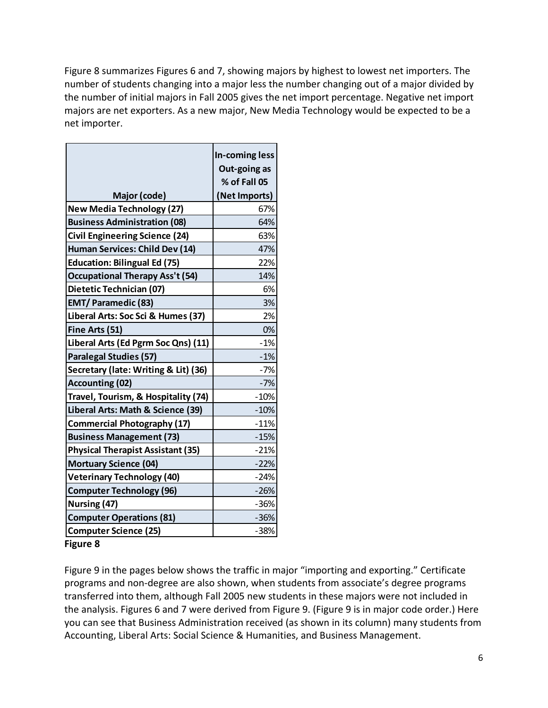Figure 8 summarizes Figures 6 and 7, showing majors by highest to lowest net importers. The number of students changing into a major less the number changing out of a major divided by the number of initial majors in Fall 2005 gives the net import percentage. Negative net import majors are net exporters. As a new major, New Media Technology would be expected to be a net importer.

|                                          | In-coming less<br>Out-going as<br>% of Fall 05 |
|------------------------------------------|------------------------------------------------|
| Major (code)                             | (Net Imports)                                  |
| <b>New Media Technology (27)</b>         | 67%                                            |
| <b>Business Administration (08)</b>      | 64%                                            |
| <b>Civil Engineering Science (24)</b>    | 63%                                            |
| Human Services: Child Dev (14)           | 47%                                            |
| <b>Education: Bilingual Ed (75)</b>      | 22%                                            |
| <b>Occupational Therapy Ass't (54)</b>   | 14%                                            |
| Dietetic Technician (07)                 | 6%                                             |
| <b>EMT/Paramedic (83)</b>                | 3%                                             |
| Liberal Arts: Soc Sci & Humes (37)       | 2%                                             |
| Fine Arts (51)                           | 0%                                             |
| Liberal Arts (Ed Pgrm Soc Qns) (11)      | $-1%$                                          |
| <b>Paralegal Studies (57)</b>            | $-1%$                                          |
| Secretary (late: Writing & Lit) (36)     | $-7%$                                          |
| <b>Accounting (02)</b>                   | $-7%$                                          |
| Travel, Tourism, & Hospitality (74)      | $-10%$                                         |
| Liberal Arts: Math & Science (39)        | $-10%$                                         |
| <b>Commercial Photography (17)</b>       | $-11%$                                         |
| <b>Business Management (73)</b>          | $-15%$                                         |
| <b>Physical Therapist Assistant (35)</b> | $-21%$                                         |
| <b>Mortuary Science (04)</b>             | $-22%$                                         |
| <b>Veterinary Technology (40)</b>        | $-24%$                                         |
| <b>Computer Technology (96)</b>          | $-26%$                                         |
| Nursing (47)                             | $-36%$                                         |
| <b>Computer Operations (81)</b>          | $-36%$                                         |
| <b>Computer Science (25)</b>             | -38%                                           |

 **Figure 8**

 Figure 9 in the pages below shows the traffic in major "importing and exporting." Certificate programs and non‐degree are also shown, when students from associate's degree programs transferred into them, although Fall 2005 new students in these majors were not included in the analysis. Figures 6 and 7 were derived from Figure 9. (Figure 9 is in major code order.) Here you can see that Business Administration received (as shown in its column) many students from Accounting, Liberal Arts: Social Science & Humanities, and Business Management.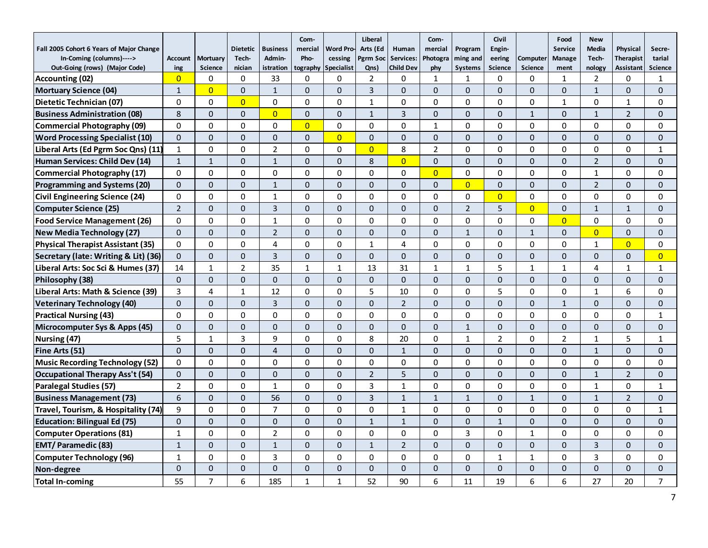| Fall 2005 Cohort 6 Years of Major Change |                |                | <b>Dietetic</b> | <b>Business</b> | Com-<br>mercial | <b>Word Pro-</b>  | Liberal<br>Arts (Ed | Human            | Com-<br>mercial | Program        | Civil<br>Engin- |                | Food<br><b>Service</b> | <b>New</b><br>Media | Physical         | Secre-         |
|------------------------------------------|----------------|----------------|-----------------|-----------------|-----------------|-------------------|---------------------|------------------|-----------------|----------------|-----------------|----------------|------------------------|---------------------|------------------|----------------|
| In-Coming (columns)---->                 | <b>Account</b> | Mortuary       | Tech-           | Admin-          | Pho-            | cessing           | Pgrm Soc            | Services:        | Photogra        | ming and       | eering          | Computer       | <b>Manage</b>          | Tech-               | <b>Therapist</b> | tarial         |
| Out-Going (rows) (Major Code)            | ing            | <b>Science</b> | nician          | istration       | tography        | <b>Specialist</b> | Qns)                | <b>Child Dev</b> | phy             | <b>Systems</b> | <b>Science</b>  | <b>Science</b> | ment                   | nology              | <b>Assistant</b> | <b>Science</b> |
| Accounting (02)                          | $\overline{0}$ | 0              | $\mathbf 0$     | 33              | 0               | 0                 | 2                   | 0                | 1               | 1              | 0               | 0              | 1                      | $\overline{2}$      | 0                | 1              |
| Mortuary Science (04)                    | $\mathbf{1}$   | $\overline{0}$ | $\mathbf{0}$    | $\mathbf{1}$    | $\Omega$        | 0                 | 3                   | $\Omega$         | $\Omega$        | $\Omega$       | $\mathbf{0}$    | $\mathbf{0}$   | $\Omega$               | $\mathbf{1}$        | $\Omega$         | $\Omega$       |
| Dietetic Technician (07)                 | $\Omega$       | $\Omega$       | $\overline{0}$  | $\Omega$        | $\Omega$        | $\Omega$          | $\mathbf{1}$        | $\Omega$         | $\Omega$        | $\Omega$       | 0               | $\Omega$       | $\mathbf{1}$           | $\Omega$            | $\mathbf{1}$     | $\Omega$       |
| <b>Business Administration (08)</b>      | 8              | $\Omega$       | $\Omega$        | $\overline{0}$  | $\Omega$        | $\Omega$          | $\mathbf{1}$        | $\overline{3}$   | $\Omega$        | $\Omega$       | $\mathbf{0}$    | $\mathbf{1}$   | $\Omega$               | $\mathbf{1}$        | $2^{\circ}$      | $\Omega$       |
| Commercial Photography (09)              | 0              | $\Omega$       | $\mathbf 0$     | 0               | $\overline{0}$  | 0                 | $\mathbf 0$         | $\mathbf 0$      | 1               | $\mathbf 0$    | 0               | 0              | $\Omega$               | $\mathbf 0$         | 0                | 0              |
| <b>Word Processing Specialist (10)</b>   | $\Omega$       | $\Omega$       | $\mathbf{0}$    | $\overline{0}$  | $\Omega$        | $\overline{0}$    | $\mathbf{0}$        | $\Omega$         | $\mathbf{0}$    | $\Omega$       | $\mathbf 0$     | $\Omega$       | $\Omega$               | $\Omega$            | $\Omega$         | $\Omega$       |
| Liberal Arts (Ed Pgrm Soc Qns) (11)      | $\mathbf{1}$   | $\Omega$       | $\mathbf 0$     | $\overline{2}$  | $\Omega$        | $\Omega$          | $\overline{0}$      | 8                | 2               | $\Omega$       | 0               | $\Omega$       | $\Omega$               | $\Omega$            | $\Omega$         | $\mathbf{1}$   |
| Human Services: Child Dev (14)           | $\mathbf{1}$   | $\mathbf{1}$   | $\Omega$        | $\mathbf{1}$    | $\Omega$        | $\Omega$          | 8                   | $\Omega$         | $\Omega$        | $\Omega$       | $\Omega$        | $\Omega$       | $\Omega$               | $\overline{2}$      | $\Omega$         | $\Omega$       |
| <b>Commercial Photography (17)</b>       | 0              | $\mathbf 0$    | $\mathbf 0$     | 0               | $\Omega$        | $\Omega$          | $\Omega$            | $\mathbf 0$      | $\overline{0}$  | 0              | 0               | 0              | $\Omega$               | $\mathbf{1}$        | 0                | 0              |
| <b>Programming and Systems (20)</b>      | $\Omega$       | $\Omega$       | $\mathbf{0}$    | $\mathbf{1}$    | $\Omega$        | $\Omega$          | $\Omega$            | $\Omega$         | $\Omega$        | $\overline{0}$ | $\mathbf 0$     | $\Omega$       | $\Omega$               | $\overline{2}$      | $\Omega$         | $\Omega$       |
| <b>Civil Engineering Science (24)</b>    | $\Omega$       | $\Omega$       | $\mathbf{0}$    | $\mathbf{1}$    | $\Omega$        | $\Omega$          | $\mathbf{0}$        | $\Omega$         | $\Omega$        | $\Omega$       | $\overline{0}$  | $\Omega$       | $\Omega$               | $\Omega$            | $\Omega$         | $\Omega$       |
| <b>Computer Science (25)</b>             | $\overline{2}$ | $\overline{0}$ | $\Omega$        | $\overline{3}$  | $\Omega$        | $\Omega$          | $\Omega$            | $\Omega$         | $\Omega$        | $\overline{2}$ | 5               | $\overline{0}$ | $\Omega$               | $\mathbf{1}$        | $\mathbf{1}$     | $\Omega$       |
| <b>Food Service Management (26)</b>      | 0              | 0              | $\mathbf{0}$    | $\mathbf{1}$    | 0               | $\mathbf 0$       | $\mathbf 0$         | $\mathbf 0$      | $\mathbf 0$     | 0              | 0               | 0              | $\overline{0}$         | $\mathbf{0}$        | 0                | 0              |
| New Media Technology (27)                | $\Omega$       | $\overline{0}$ | $\mathbf 0$     | $\overline{2}$  | $\Omega$        | $\overline{0}$    | $\Omega$            | $\Omega$         | $\Omega$        | $\mathbf{1}$   | $\mathbf{0}$    | $\mathbf{1}$   | $\overline{0}$         | $\overline{0}$      | $\Omega$         | $\Omega$       |
| Physical Therapist Assistant (35)        | 0              | $\mathbf 0$    | $\mathbf 0$     | 4               | $\Omega$        | $\Omega$          | $\mathbf{1}$        | 4                | $\mathbf 0$     | $\mathbf 0$    | 0               | 0              | $\Omega$               | $\mathbf{1}$        | $\overline{0}$   | $\Omega$       |
| Secretary (late: Writing & Lit) (36)     | $\Omega$       | $\Omega$       | $\mathbf{0}$    | $\overline{3}$  | $\Omega$        | $\overline{0}$    | $\Omega$            | $\Omega$         | $\Omega$        | $\Omega$       | $\mathbf 0$     | $\Omega$       | $\Omega$               | $\Omega$            | $\Omega$         | $\overline{0}$ |
| Liberal Arts: Soc Sci & Humes (37)       | 14             | $\mathbf{1}$   | $\overline{2}$  | 35              | $\mathbf{1}$    | $\mathbf{1}$      | 13                  | 31               | $\mathbf{1}$    | $\mathbf{1}$   | 5               | $\mathbf{1}$   | $\mathbf{1}$           | 4                   | $\mathbf{1}$     | $\mathbf{1}$   |
| Philosophy (38)                          | $\Omega$       | $\overline{0}$ | $\mathbf 0$     | $\mathbf 0$     | $\Omega$        | $\overline{0}$    | $\mathbf 0$         | $\mathbf{0}$     | $\mathbf 0$     | $\mathbf 0$    | $\mathbf 0$     | $\mathbf{0}$   | $\Omega$               | $\Omega$            | $\Omega$         | $\Omega$       |
| Liberal Arts: Math & Science (39)        | 3              | 4              | $\mathbf{1}$    | 12              | $\Omega$        | $\Omega$          | 5                   | 10               | $\Omega$        | $\Omega$       | 5               | 0              | $\Omega$               | $\mathbf{1}$        | 6                | $\Omega$       |
| Veterinary Technology (40)               | $\Omega$       | $\Omega$       | $\mathbf{0}$    | $\overline{3}$  | $\Omega$        | $\overline{0}$    | $\Omega$            | $\overline{2}$   | $\Omega$        | $\Omega$       | $\mathbf 0$     | $\Omega$       | $\mathbf{1}$           | $\Omega$            | $\Omega$         | $\Omega$       |
| <b>Practical Nursing (43)</b>            | $\Omega$       | $\Omega$       | $\Omega$        | $\overline{0}$  | $\Omega$        | 0                 | $\Omega$            | $\Omega$         | $\Omega$        | $\Omega$       | 0               | $\Omega$       | $\Omega$               | $\Omega$            | $\Omega$         | $\mathbf{1}$   |
| Microcomputer Sys & Apps (45)            | $\mathbf{0}$   | $\Omega$       | $\mathbf 0$     | $\mathbf 0$     | $\Omega$        | $\overline{0}$    | $\mathbf 0$         | $\mathbf{0}$     | $\mathbf{0}$    | $\mathbf{1}$   | $\pmb{0}$       | $\mathbf{0}$   | $\overline{0}$         | $\mathbf 0$         | $\mathbf 0$      | 0              |
| Nursing (47)                             | 5              | $\mathbf{1}$   | 3               | 9               | $\Omega$        | $\Omega$          | 8                   | 20               | $\Omega$        | $\mathbf{1}$   | $\overline{2}$  | $\Omega$       | $\overline{2}$         | $\mathbf{1}$        | 5                | $\mathbf{1}$   |
| Fine Arts (51)                           | $\Omega$       | $\Omega$       | $\Omega$        | $\overline{4}$  | $\Omega$        | $\Omega$          | $\Omega$            | $\mathbf{1}$     | $\Omega$        | $\Omega$       | $\Omega$        | $\Omega$       | $\Omega$               | $\mathbf{1}$        | $\Omega$         | $\Omega$       |
| Music Recording Technology (52)          | $\Omega$       | $\Omega$       | $\Omega$        | $\overline{0}$  | $\Omega$        | $\Omega$          | $\mathbf{0}$        | $\Omega$         | $\Omega$        | $\Omega$       | $\mathbf 0$     | $\Omega$       | $\Omega$               | $\Omega$            | $\overline{0}$   | $\Omega$       |
| Occupational Therapy Ass't (54)          | 0              | $\Omega$       | $\mathbf 0$     | $\mathbf 0$     | $\Omega$        | $\Omega$          | $\overline{2}$      | 5                | $\Omega$        | $\mathbf{0}$   | $\mathbf 0$     | $\mathbf{0}$   | $\Omega$               | $\mathbf{1}$        | $\overline{2}$   | $\Omega$       |
| Paralegal Studies (57)                   | $\overline{2}$ | $\Omega$       | $\mathbf{0}$    | $\mathbf{1}$    | $\Omega$        | $\Omega$          | 3                   | $\mathbf{1}$     | $\Omega$        | 0              | 0               | $\Omega$       | $\Omega$               | $\mathbf{1}$        | $\Omega$         | $\mathbf{1}$   |
| <b>Business Management (73)</b>          | 6              | $\overline{0}$ | $\Omega$        | 56              | $\Omega$        | $\Omega$          | $\overline{3}$      | $\mathbf{1}$     | $\mathbf{1}$    | $\mathbf{1}$   | $\Omega$        | $\mathbf{1}$   | $\Omega$               | $\mathbf{1}$        | $\overline{2}$   | $\Omega$       |
| Travel, Tourism, & Hospitality (74)      | 9              | $\Omega$       | $\Omega$        | $\overline{7}$  | $\Omega$        | $\Omega$          | $\Omega$            | $\mathbf{1}$     | $\Omega$        | $\Omega$       | 0               | $\Omega$       | $\Omega$               | $\Omega$            | $\Omega$         | $\mathbf{1}$   |
| <b>Education: Bilingual Ed (75)</b>      | $\mathbf{0}$   | 0              | $\mathbf{0}$    | $\mathbf 0$     | $\mathbf{0}$    | 0                 | $\mathbf{1}$        | $\mathbf{1}$     | $\mathbf 0$     | $\mathbf{0}$   | $\mathbf{1}$    | $\mathbf{0}$   | $\mathbf{0}$           | $\mathbf{0}$        | $\mathbf{0}$     | $\mathbf{0}$   |
| <b>Computer Operations (81)</b>          | $\mathbf{1}$   | $\mathbf 0$    | $\mathbf 0$     | $\overline{2}$  | $\Omega$        | $\Omega$          | $\mathbf 0$         | $\mathbf 0$      | $\mathbf{0}$    | 3              | 0               | $\mathbf{1}$   | $\Omega$               | $\mathbf 0$         | 0                | $\Omega$       |
| <b>EMT/Paramedic (83)</b>                | $\mathbf{1}$   | $\Omega$       | $\Omega$        | $\mathbf{1}$    | $\Omega$        | $\overline{0}$    | $\mathbf{1}$        | $\overline{2}$   | $\Omega$        | $\Omega$       | $\Omega$        | $\Omega$       | $\Omega$               | 3                   | $\overline{0}$   | $\Omega$       |
| <b>Computer Technology (96)</b>          | $\mathbf{1}$   | 0              | $\Omega$        | 3               | $\Omega$        | $\Omega$          | $\mathbf{0}$        | $\Omega$         | $\Omega$        | $\Omega$       | $\mathbf{1}$    | $\mathbf{1}$   | $\Omega$               | 3                   | $\overline{0}$   | $\Omega$       |
| Non-degree                               | $\Omega$       | $\Omega$       | $\mathbf{0}$    | $\Omega$        | $\Omega$        | $\overline{0}$    | $\Omega$            | $\Omega$         | $\Omega$        | $\Omega$       | $\mathbf{0}$    | $\mathbf{0}$   | $\overline{0}$         | $\Omega$            | $\Omega$         | $\Omega$       |
| Total In-coming                          | 55             | $\overline{7}$ | 6               | 185             | $\mathbf{1}$    | $\mathbf{1}$      | 52                  | 90               | 6               | 11             | 19              | 6              | 6                      | 27                  | 20               | $\overline{7}$ |